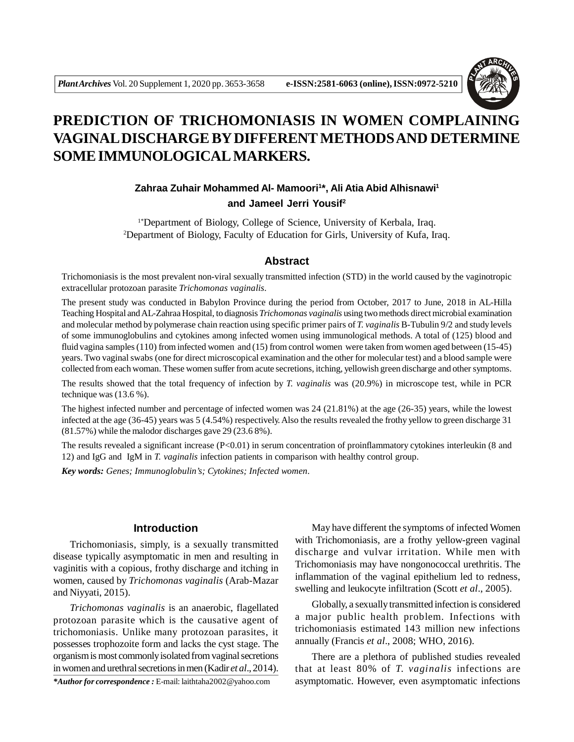

# **PREDICTION OF TRICHOMONIASIS IN WOMEN COMPLAINING VAGINAL DISCHARGE BY DIFFERENT METHODS AND DETERMINE SOME IMMUNOLOGICAL MARKERS.**

# **Zahraa Zuhair Mohammed Al- Mamoori<sup>1</sup> \*, Ali Atia Abid Alhisnawi<sup>1</sup> and Jameel Jerri Yousif<sup>2</sup>**

1\*Department of Biology, College of Science, University of Kerbala, Iraq. <sup>2</sup>Department of Biology, Faculty of Education for Girls, University of Kufa, Iraq.

## **Abstract**

Trichomoniasis is the most prevalent non-viral sexually transmitted infection (STD) in the world caused by the vaginotropic extracellular protozoan parasite *Trichomonas vaginalis*.

The present study was conducted in Babylon Province during the period from October, 2017 to June, 2018 in AL-Hilla Teaching Hospital and AL-Zahraa Hospital, to diagnosis *Trichomonas vaginalis* using two methods direct microbial examination and molecular method by polymerase chain reaction using specific primer pairs of *T. vaginalis* B-Tubulin 9/2 and study levels of some immunoglobulins and cytokines among infected women using immunological methods. A total of (125) blood and fluid vagina samples (110) from infected women and (15) from control women were taken from women aged between (15-45) years. Two vaginal swabs (one for direct microscopical examination and the other for molecular test) and a blood sample were collected from each woman. These women suffer from acute secretions, itching, yellowish green discharge and other symptoms.

The results showed that the total frequency of infection by *T. vaginalis* was (20.9%) in microscope test, while in PCR technique was (13.6 %).

The highest infected number and percentage of infected women was 24 (21.81%) at the age (26-35) years, while the lowest infected at the age (36-45) years was 5 (4.54%) respectively. Also the results revealed the frothy yellow to green discharge 31 (81.57%) while the malodor discharges gave 29 (23.6 8%).

The results revealed a significant increase  $(P< 0.01)$  in serum concentration of proinflammatory cytokines interleukin (8 and 12) and IgG and IgM in *T. vaginalis* infection patients in comparison with healthy control group.

*Key words: Genes; Immunoglobulin's; Cytokines; Infected women*.

# **Introduction**

Trichomoniasis, simply, is a sexually transmitted disease typically asymptomatic in men and resulting in vaginitis with a copious, frothy discharge and itching in women, caused by *Trichomonas vaginalis* (Arab-Mazar and Niyyati, 2015).

*Trichomonas vaginalis* is an anaerobic, flagellated protozoan parasite which is the causative agent of trichomoniasis. Unlike many protozoan parasites, it possesses trophozoite form and lacks the cyst stage. The organism is most commonly isolated from vaginal secretions in women and urethral secretions in men (Kadir *et al*., 2014).

May have different the symptoms of infected Women with Trichomoniasis, are a frothy yellow-green vaginal discharge and vulvar irritation. While men with Trichomoniasis may have nongonococcal urethritis. The inflammation of the vaginal epithelium led to redness, swelling and leukocyte infiltration (Scott *et al*., 2005).

Globally, a sexually transmitted infection is considered a major public health problem. Infections with trichomoniasis estimated 143 million new infections annually (Francis *et al*., 2008; WHO, 2016).

There are a plethora of published studies revealed that at least 80% of *T. vaginalis* infections are *\*Author for correspondence :* E-mail: laithtaha2002@yahoo.com asymptomatic. However, even asymptomatic infections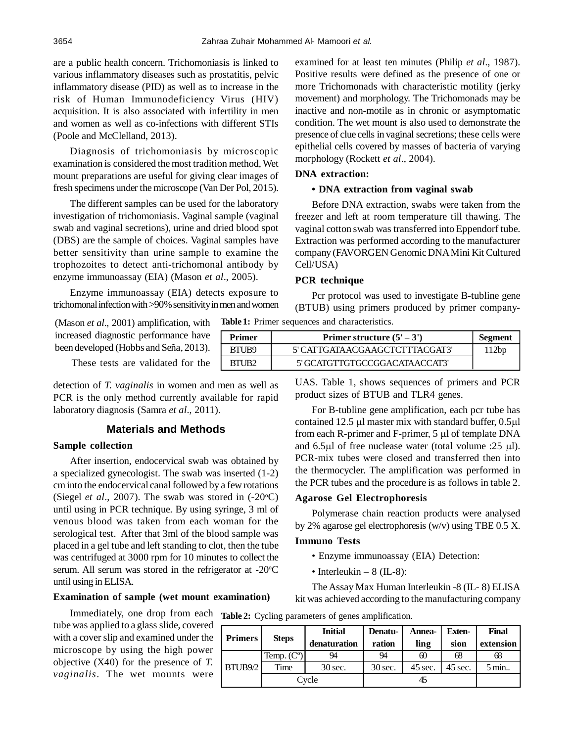are a public health concern. Trichomoniasis is linked to various inflammatory diseases such as prostatitis, pelvic inflammatory disease (PID) as well as to increase in the risk of Human Immunodeficiency Virus (HIV) acquisition. It is also associated with infertility in men and women as well as co-infections with different STIs (Poole and McClelland, 2013).

Diagnosis of trichomoniasis by microscopic examination is considered the most tradition method, Wet mount preparations are useful for giving clear images of fresh specimens under the microscope (Van Der Pol, 2015).

The different samples can be used for the laboratory investigation of trichomoniasis. Vaginal sample (vaginal swab and vaginal secretions), urine and dried blood spot (DBS) are the sample of choices. Vaginal samples have better sensitivity than urine sample to examine the trophozoites to detect anti-trichomonal antibody by enzyme immunoassay (EIA) (Mason *et al*., 2005).

Enzyme immunoassay (EIA) detects exposure to trichomonal infection with >90% sensitivity in men and women

(Mason *et al*., 2001) amplification, with increased diagnostic performance have been developed (Hobbs and Seña, 2013).

These tests are validated for the

detection of *T. vaginalis* in women and men as well as PCR is the only method currently available for rapid laboratory diagnosis (Samra *et al*., 2011).

# **Materials and Methods**

# **Sample collection**

After insertion, endocervical swab was obtained by a specialized gynecologist. The swab was inserted (1-2) cm into the endocervical canal followed by a few rotations (Siegel *et al.*, 2007). The swab was stored in  $(-20^{\circ}C)$ until using in PCR technique. By using syringe, 3 ml of venous blood was taken from each woman for the serological test. After that 3ml of the blood sample was placed in a gel tube and left standing to clot, then the tube was centrifuged at 3000 rpm for 10 minutes to collect the serum. All serum was stored in the refrigerator at  $-20^{\circ}$ C until using in ELISA.

### **Examination of sample (wet mount examination)**

Immediately, one drop from each tube was applied to a glass slide, covered with a cover slip and examined under the microscope by using the high power objective (X40) for the presence of *T. vaginalis*. The wet mounts were

examined for at least ten minutes (Philip *et al*., 1987). Positive results were defined as the presence of one or more Trichomonads with characteristic motility (jerky movement) and morphology. The Trichomonads may be inactive and non-motile as in chronic or asymptomatic condition. The wet mount is also used to demonstrate the presence of clue cells in vaginal secretions; these cells were epithelial cells covered by masses of bacteria of varying morphology (Rockett *et al*., 2004).

#### **DNA extraction:**

### **• DNA extraction from vaginal swab**

Before DNA extraction, swabs were taken from the freezer and left at room temperature till thawing. The vaginal cotton swab was transferred into Eppendorf tube. Extraction was performed according to the manufacturer company (FAVORGEN Genomic DNA Mini Kit Cultured Cell/USA)

### **PCR technique**

Pcr protocol was used to investigate B-tubline gene (BTUB) using primers produced by primer company-**Table 1:** Primer sequences and characteristics.

| Primer | Primer structure $(5' – 3')$   | Segment |
|--------|--------------------------------|---------|
| BTUB9  | 5' CATTGATAACGAAGCTCTTTACGAT3' | 112bp   |
| BTUB2  | 5' GCATGTTGTGCCGGACATAACCAT3'  |         |

UAS. Table 1, shows sequences of primers and PCR product sizes of BTUB and TLR4 genes.

For B-tubline gene amplification, each pcr tube has contained 12.5  $\mu$ l master mix with standard buffer, 0.5 $\mu$ l from each R-primer and F-primer,  $5 \mu l$  of template DNA and 6.5 $\mu$ l of free nuclease water (total volume :25  $\mu$ l). PCR-mix tubes were closed and transferred then into the thermocycler. The amplification was performed in the PCR tubes and the procedure is as follows in table 2.

### **Agarose Gel Electrophoresis**

Polymerase chain reaction products were analysed by 2% agarose gel electrophoresis (w/v) using TBE 0.5 X.

# **Immuno Tests**

- Enzyme immunoassay (EIA) Detection:
- Interleukin 8 (IL-8):

The Assay Max Human Interleukin -8 (IL- 8) ELISA kit was achieved according to the manufacturing company

| <b>Primers</b>      | <b>Steps</b> | <b>Initial</b><br>denaturation | Denatu-<br>ration | Annea-<br>ling | <b>Exten-</b><br>sion | Final<br>extension |
|---------------------|--------------|--------------------------------|-------------------|----------------|-----------------------|--------------------|
|                     | Temp. $(Co)$ | 94                             | 94                | 60             | 68                    | 68                 |
| BTUB <sub>9/2</sub> | Time         | 30 sec.                        | $30$ sec.         | $45$ sec.      | $45$ sec.             | 5 min              |
|                     |              | Cycle                          |                   |                |                       |                    |

**Table 2:** Cycling parameters of genes amplification.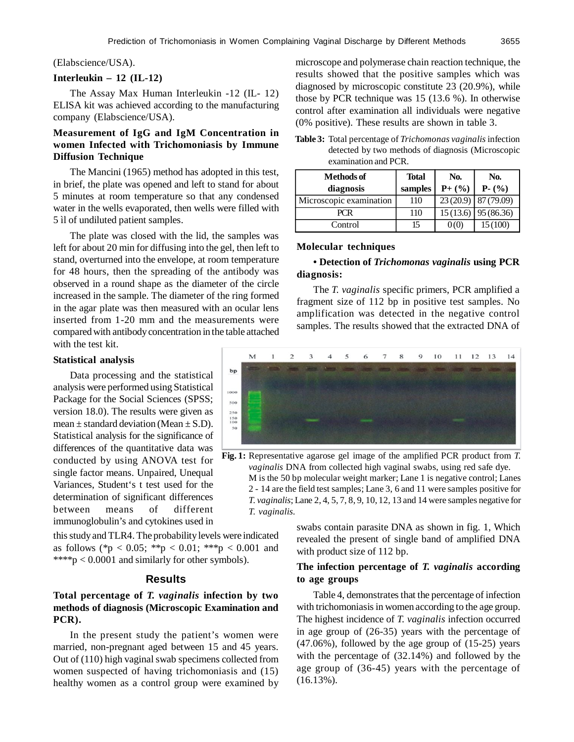### (Elabscience/USA).

## **Interleukin – 12 (IL-12)**

The Assay Max Human Interleukin -12 (IL- 12) ELISA kit was achieved according to the manufacturing company (Elabscience/USA).

# **Measurement of IgG and IgM Concentration in women Infected with Trichomoniasis by Immune Diffusion Technique**

The Mancini (1965) method has adopted in this test, in brief, the plate was opened and left to stand for about 5 minutes at room temperature so that any condensed water in the wells evaporated, then wells were filled with 5 ìl of undiluted patient samples.

The plate was closed with the lid, the samples was left for about 20 min for diffusing into the gel, then left to stand, overturned into the envelope, at room temperature for 48 hours, then the spreading of the antibody was observed in a round shape as the diameter of the circle increased in the sample. The diameter of the ring formed in the agar plate was then measured with an ocular lens inserted from 1-20 mm and the measurements were compared with antibody concentration in the table attached with the test kit.

### **Statistical analysis**

Data processing and the statistical analysis were performed using Statistical Package for the Social Sciences (SPSS; version 18.0). The results were given as mean  $\pm$  standard deviation (Mean  $\pm$  S.D). Statistical analysis for the significance of differences of the quantitative data was conducted by using ANOVA test for single factor means. Unpaired, Unequal Variances, Student's t test used for the determination of significant differences between means of different immunoglobulin's and cytokines used in

this study and TLR4. The probability levels were indicated as follows (\*p < 0.05; \*\*p < 0.01; \*\*\*p < 0.001 and \*\*\*\*p < 0.0001 and similarly for other symbols).

### **Results**

# **Total percentage of** *T. vaginalis* **infection by two methods of diagnosis (Microscopic Examination and PCR).**

In the present study the patient's women were married, non-pregnant aged between 15 and 45 years. Out of (110) high vaginal swab specimens collected from women suspected of having trichomoniasis and (15) healthy women as a control group were examined by microscope and polymerase chain reaction technique, the results showed that the positive samples which was diagnosed by microscopic constitute 23 (20.9%), while those by PCR technique was 15 (13.6 %). In otherwise control after examination all individuals were negative (0% positive). These results are shown in table 3.

**Table 3:** Total percentage of *Trichomonas vaginalis* infection detected by two methods of diagnosis (Microscopic examination and PCR.

| <b>Methods of</b>       | <b>Total</b> | No.                 | No.                   |
|-------------------------|--------------|---------------------|-----------------------|
| diagnosis               | samples      | $P + (\frac{6}{9})$ | $P - (\frac{9}{6})$   |
| Microscopic examination | 110          | 23(20.9)            | 87 (79.09)            |
| <b>PCR</b>              | 110          |                     | $15(13.6)$ 95 (86.36) |
| Control                 | 15           | 0(0)                | 15(100)               |

### **Molecular techniques**

# **• Detection of** *Trichomonas vaginalis* **using PCR diagnosis:**

The *T. vaginalis* specific primers, PCR amplified a fragment size of 112 bp in positive test samples. No amplification was detected in the negative control samples. The results showed that the extracted DNA of



**Fig. 1:** Representative agarose gel image of the amplified PCR product from *T. vaginalis* DNA from collected high vaginal swabs, using red safe dye. M is the 50 bp molecular weight marker; Lane 1 is negative control; Lanes 2 - 14 are the field test samples; Lane 3, 6 and 11 were samples positive for *T. vaginalis*; Lane 2, 4, 5, 7, 8, 9, 10, 12, 13 and 14 were samples negative for *T. vaginalis.*

> swabs contain parasite DNA as shown in fig. 1, Which revealed the present of single band of amplified DNA with product size of 112 bp.

# **The infection percentage of** *T. vaginalis* **according to age groups**

Table 4, demonstrates that the percentage of infection with trichomoniasis in women according to the age group. The highest incidence of *T. vaginalis* infection occurred in age group of (26-35) years with the percentage of (47.06%), followed by the age group of (15-25) years with the percentage of (32.14%) and followed by the age group of (36-45) years with the percentage of (16.13%).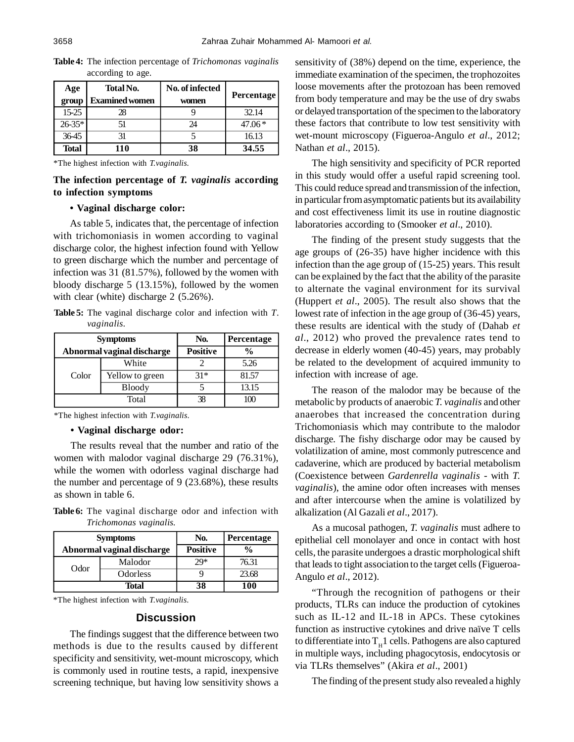| Age<br>group | Total No.<br><b>Examined women</b> | No. of infected<br>women | <b>Percentage</b> |
|--------------|------------------------------------|--------------------------|-------------------|
| $15 - 25$    | 78                                 |                          | 32.14             |
| $26-35*$     |                                    | 24                       | $47.06*$          |
| 36-45        |                                    |                          | 16.13             |
| <b>Total</b> | 110                                | 38                       | 34.55             |

**Table 4:** The infection percentage of *Trichomonas vaginalis* according to age.

\*The highest infection with *T.vaginalis*.

# **The infection percentage of** *T. vaginalis* **according to infection symptoms**

### **• Vaginal discharge color:**

As table 5, indicates that, the percentage of infection with trichomoniasis in women according to vaginal discharge color, the highest infection found with Yellow to green discharge which the number and percentage of infection was 31 (81.57%), followed by the women with bloody discharge 5 (13.15%), followed by the women with clear (white) discharge 2 (5.26%).

**Table 5:** The vaginal discharge color and infection with *T*. *vaginalis.*

| <b>Symptoms</b> |                            | No.             | <b>Percentage</b> |  |
|-----------------|----------------------------|-----------------|-------------------|--|
|                 | Abnormal vaginal discharge | <b>Positive</b> | $\frac{0}{0}$     |  |
|                 | White                      |                 | 5.26              |  |
| Color           | Yellow to green            | $31*$           | 81.57             |  |
|                 | <b>Bloody</b>              |                 | 13.15             |  |
| Total           |                            |                 |                   |  |

\*The highest infection with *T.vaginalis*.

### **• Vaginal discharge odor:**

The results reveal that the number and ratio of the women with malodor vaginal discharge 29 (76.31%), while the women with odorless vaginal discharge had the number and percentage of 9 (23.68%), these results as shown in table 6.

**Table 6:** The vaginal discharge odor and infection with *Trichomonas vaginalis.*

| <b>Symptoms</b>            |          | No.             | <b>Percentage</b> |  |
|----------------------------|----------|-----------------|-------------------|--|
| Abnormal vaginal discharge |          | <b>Positive</b> | $\frac{0}{0}$     |  |
| Odor                       | Malodor  | $29*$           | 76.31             |  |
|                            | Odorless |                 | 23.68             |  |
| Total                      |          | 38              | 100               |  |

\*The highest infection with *T.vaginalis*.

## **Discussion**

The findings suggest that the difference between two methods is due to the results caused by different specificity and sensitivity, wet-mount microscopy, which is commonly used in routine tests, a rapid, inexpensive screening technique, but having low sensitivity shows a sensitivity of (38%) depend on the time, experience, the immediate examination of the specimen, the trophozoites loose movements after the protozoan has been removed from body temperature and may be the use of dry swabs or delayed transportation of the specimen to the laboratory these factors that contribute to low test sensitivity with wet-mount microscopy (Figueroa-Angulo *et al*., 2012; Nathan *et al*., 2015).

The high sensitivity and specificity of PCR reported in this study would offer a useful rapid screening tool. This could reduce spread and transmission of the infection, in particular from asymptomatic patients but its availability and cost effectiveness limit its use in routine diagnostic laboratories according to (Smooker *et al*., 2010).

The finding of the present study suggests that the age groups of (26-35) have higher incidence with this infection than the age group of (15-25) years. This result can be explained by the fact that the ability of the parasite to alternate the vaginal environment for its survival (Huppert *et al*., 2005). The result also shows that the lowest rate of infection in the age group of (36-45) years, these results are identical with the study of (Dahab *et al*., 2012) who proved the prevalence rates tend to decrease in elderly women (40-45) years, may probably be related to the development of acquired immunity to infection with increase of age.

The reason of the malodor may be because of the metabolic by products of anaerobic *T. vaginalis* and other anaerobes that increased the concentration during Trichomoniasis which may contribute to the malodor discharge. The fishy discharge odor may be caused by volatilization of amine, most commonly putrescence and cadaverine, which are produced by bacterial metabolism (Coexistence between *Gardenrella vaginalis -* with *T. vaginalis*), the amine odor often increases with menses and after intercourse when the amine is volatilized by alkalization (Al Gazali *et al*., 2017).

As a mucosal pathogen, *T. vaginalis* must adhere to epithelial cell monolayer and once in contact with host cells, the parasite undergoes a drastic morphological shift that leads to tight association to the target cells (Figueroa-Angulo *et al*., 2012).

"Through the recognition of pathogens or their products, TLRs can induce the production of cytokines such as IL-12 and IL-18 in APCs. These cytokines function as instructive cytokines and drive naïve T cells to differentiate into  $\mathrm{T_H1}$  cells. Pathogens are also captured in multiple ways, including phagocytosis, endocytosis or via TLRs themselves" (Akira *et al*., 2001)

The finding of the present study also revealed a highly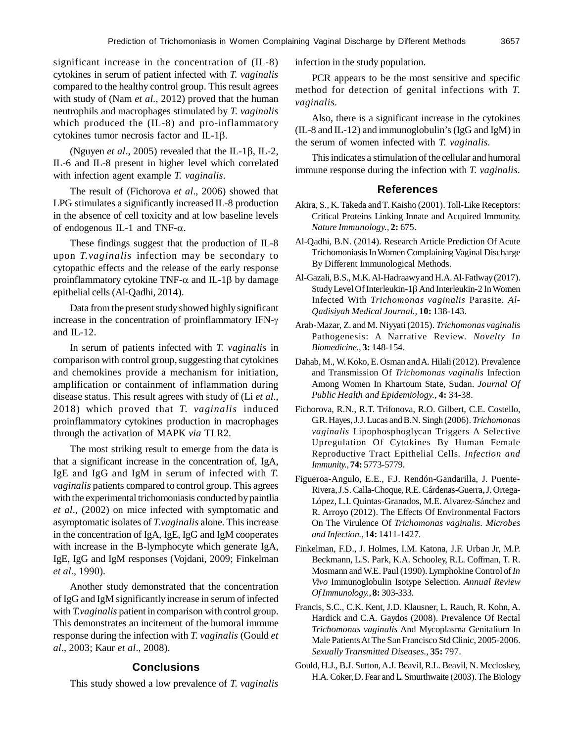significant increase in the concentration of (IL-8) cytokines in serum of patient infected with *T. vaginalis* compared to the healthy control group. This result agrees with study of (Nam *et al.*, 2012) proved that the human neutrophils and macrophages stimulated by *T. vaginalis* which produced the (IL-8) and pro-inflammatory cytokines tumor necrosis factor and  $IL-1\beta$ .

(Nguyen *et al.*, 2005) revealed that the IL-1 $\beta$ , IL-2, IL-6 and IL-8 present in higher level which correlated with infection agent example *T. vaginalis*.

The result of (Fichorova *et al*., 2006) showed that LPG stimulates a significantly increased IL-8 production in the absence of cell toxicity and at low baseline levels of endogenous IL-1 and TNF- $\alpha$ .

These findings suggest that the production of IL-8 upon *T.vaginalis* infection may be secondary to cytopathic effects and the release of the early response proinflammatory cytokine TNF- $\alpha$  and IL-1 $\beta$  by damage epithelial cells (Al-Qadhi, 2014).

Data from the present study showed highly significant increase in the concentration of proinflammatory IFN and IL-12.

In serum of patients infected with *T. vaginalis* in comparison with control group, suggesting that cytokines and chemokines provide a mechanism for initiation, amplification or containment of inflammation during disease status. This result agrees with study of (Li *et al*., 2018) which proved that *T. vaginalis* induced proinflammatory cytokines production in macrophages through the activation of MAPK *via* TLR2.

The most striking result to emerge from the data is that a significant increase in the concentration of, IgA, IgE and IgG and IgM in serum of infected with *T. vaginalis* patients compared to control group. This agrees with the experimental trichomoniasis conducted by paintlia *et al*., (2002) on mice infected with symptomatic and asymptomatic isolates of *T.vaginalis* alone. This increase in the concentration of IgA, IgE, IgG and IgM cooperates with increase in the B-lymphocyte which generate IgA, IgE, IgG and IgM responses (Vojdani, 2009; Finkelman *et al*., 1990).

Another study demonstrated that the concentration of IgG and IgM significantly increase in serum of infected with *T.vaginalis* patient in comparison with control group. This demonstrates an incitement of the humoral immune response during the infection with *T. vaginalis* (Gould *et al*., 2003; Kaur *et al*., 2008).

### **Conclusions**

This study showed a low prevalence of *T. vaginalis*

infection in the study population.

PCR appears to be the most sensitive and specific method for detection of genital infections with *T. vaginalis.*

Also, there is a significant increase in the cytokines (IL-8 and IL-12) and immunoglobulin's (IgG and IgM) in the serum of women infected with *T. vaginalis.*

This indicates a stimulation of the cellular and humoral immune response during the infection with *T. vaginalis.*

# **References**

- Akira, S., K. Takeda and T. Kaisho (2001). Toll-Like Receptors: Critical Proteins Linking Innate and Acquired Immunity. *Nature Immunology.,* **2:** 675.
- Al-Qadhi, B.N. (2014). Research Article Prediction Of Acute Trichomoniasis In Women Complaining Vaginal Discharge By Different Immunological Methods.
- Al-Gazali, B.S., M.K. Al-Hadraawy and H.A. Al-Fatlway (2017). Study Level Of Interleukin-1 $\beta$  And Interleukin-2 In Women Infected With *Trichomonas vaginalis* Parasite. *Al-Qadisiyah Medical Journal.,* **10:** 138-143.
- Arab-Mazar, Z. and M. Niyyati (2015). *Trichomonas vaginalis* Pathogenesis: A Narrative Review. *Novelty In Biomedicine.,* **3:** 148-154.
- Dahab, M., W. Koko, E. Osman and A. Hilali (2012). Prevalence and Transmission Of *Trichomonas vaginalis* Infection Among Women In Khartoum State, Sudan. *Journal Of Public Health and Epidemiology.,* **4:** 34-38.
- Fichorova, R.N., R.T. Trifonova, R.O. Gilbert, C.E. Costello, G.R. Hayes, J.J. Lucas and B.N. Singh (2006). *Trichomonas vaginalis* Lipophosphoglycan Triggers A Selective Upregulation Of Cytokines By Human Female Reproductive Tract Epithelial Cells. *Infection and Immunity.,* **74:** 5773-5779.
- Figueroa-Angulo, E.E., F.J. Rendón-Gandarilla, J. Puente-Rivera, J.S. Calla-Choque, R.E. Cárdenas-Guerra, J. Ortega-López, L.I. Quintas-Granados, M.E. Alvarez-Sánchez and R. Arroyo (2012). The Effects Of Environmental Factors On The Virulence Of *Trichomonas vaginalis*. *Microbes and Infection.,* **14:** 1411-1427.
- Finkelman, F.D., J. Holmes, I.M. Katona, J.F. Urban Jr, M.P. Beckmann, L.S. Park, K.A. Schooley, R.L. Coffman, T. R. Mosmann and W.E. Paul (1990). Lymphokine Control of *In Vivo* Immunoglobulin Isotype Selection. *Annual Review Of Immunology.,* **8:** 303-333.
- Francis, S.C., C.K. Kent, J.D. Klausner, L. Rauch, R. Kohn, A. Hardick and C.A. Gaydos (2008). Prevalence Of Rectal *Trichomonas vaginalis* And Mycoplasma Genitalium In Male Patients At The San Francisco Std Clinic, 2005-2006. *Sexually Transmitted Diseases.,* **35:** 797.
- Gould, H.J., B.J. Sutton, A.J. Beavil, R.L. Beavil, N. Mccloskey, H.A. Coker, D. Fear and L. Smurthwaite (2003). The Biology